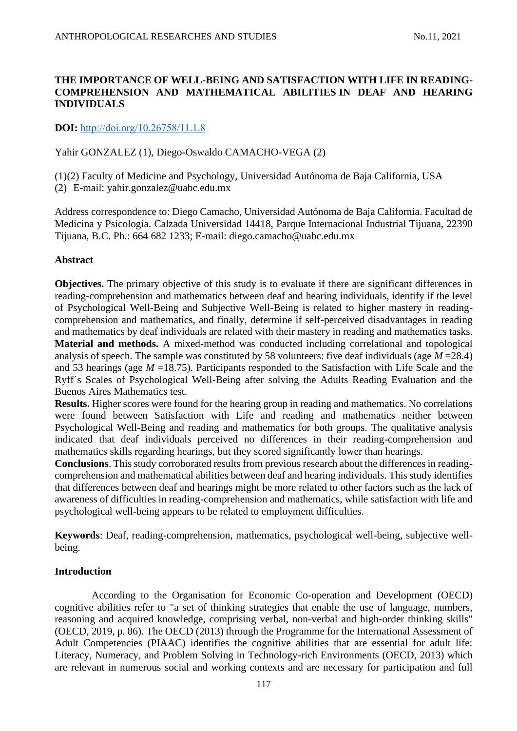# **THE IMPORTANCE OF WELL-BEING AND SATISFACTION WITH LIFE IN READING-COMPREHENSION AND MATHEMATICAL ABILITIES IN DEAF AND HEARING INDIVIDUALS**

# **DOI:** [http://doi.org/10.26758/11.1.8](https://www.journalstudiesanthropology.ro/en/the-importance-of-well-being-and-satisfaction-with-life-in-reading-comprehension-and-mathematical-abilities-in-deaf-and-hearing-individuals/a166/)

# Yahir GONZALEZ (1), Diego-Oswaldo CAMACHO-VEGA (2)

(1)(2) Faculty of Medicine and Psychology, Universidad Autónoma de Baja California, USA (2) E-mail: yahir.gonzalez@uabc.edu.mx

Address correspondence to: Diego Camacho, Universidad Autónoma de Baja California. Facultad de Medicina y Psicología. Calzada Universidad 14418, Parque Internacional Industrial Tijuana, 22390 Tijuana, B.C. Ph.: 664 682 1233; E-mail: diego.camacho@uabc.edu.mx

## **Abstract**

**Objectives.** The primary objective of this study is to evaluate if there are significant differences in reading-comprehension and mathematics between deaf and hearing individuals, identify if the level of Psychological Well-Being and Subjective Well-Being is related to higher mastery in readingcomprehension and mathematics, and finally, determine if self-perceived disadvantages in reading and mathematics by deaf individuals are related with their mastery in reading and mathematics tasks. **Material and methods.** A mixed-method was conducted including correlational and topological analysis of speech. The sample was constituted by 58 volunteers: five deaf individuals (age *M* =28.4) and 53 hearings (age *M* =18.75). Participants responded to the Satisfaction with Life Scale and the Ryff´s Scales of Psychological Well-Being after solving the Adults Reading Evaluation and the Buenos Aires Mathematics test.

**Results.** Higher scores were found for the hearing group in reading and mathematics. No correlations were found between Satisfaction with Life and reading and mathematics neither between Psychological Well-Being and reading and mathematics for both groups. The qualitative analysis indicated that deaf individuals perceived no differences in their reading-comprehension and mathematics skills regarding hearings, but they scored significantly lower than hearings.

**Conclusions**. This study corroborated results from previous research about the differences in readingcomprehension and mathematical abilities between deaf and hearing individuals. This study identifies that differences between deaf and hearings might be more related to other factors such as the lack of awareness of difficulties in reading-comprehension and mathematics, while satisfaction with life and psychological well-being appears to be related to employment difficulties.

**Keywords**: Deaf, reading-comprehension, mathematics, psychological well-being, subjective wellbeing.

# **Introduction**

According to the Organisation for Economic Co-operation and Development (OECD) cognitive abilities refer to "a set of thinking strategies that enable the use of language, numbers, reasoning and acquired knowledge, comprising verbal, non-verbal and high-order thinking skills" (OECD, 2019, p. 86). The OECD (2013) through the Programme for the International Assessment of Adult Competencies (PIAAC) identifies the cognitive abilities that are essential for adult life: Literacy, Numeracy, and Problem Solving in Technology-rich Environments (OECD, 2013) which are relevant in numerous social and working contexts and are necessary for participation and full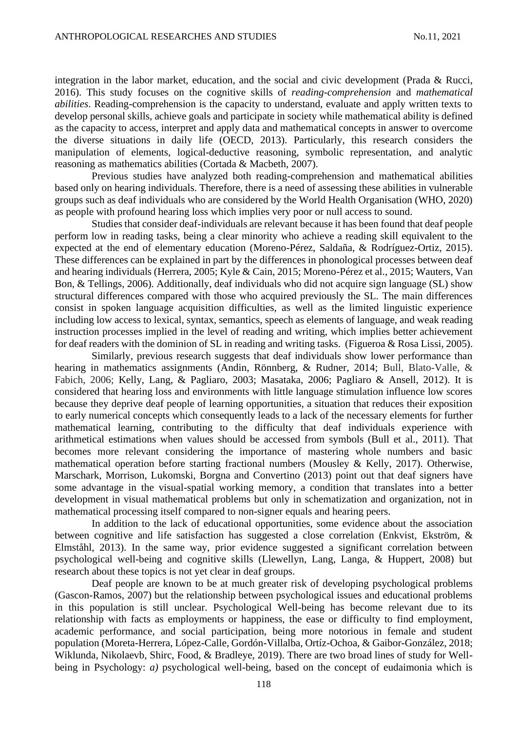integration in the labor market, education, and the social and civic development (Prada & Rucci, 2016). This study focuses on the cognitive skills of *reading-comprehension* and *mathematical abilities*. Reading-comprehension is the capacity to understand, evaluate and apply written texts to develop personal skills, achieve goals and participate in society while mathematical ability is defined as the capacity to access, interpret and apply data and mathematical concepts in answer to overcome the diverse situations in daily life (OECD, 2013). Particularly, this research considers the manipulation of elements, logical-deductive reasoning, symbolic representation, and analytic reasoning as mathematics abilities (Cortada & Macbeth, 2007).

Previous studies have analyzed both reading-comprehension and mathematical abilities based only on hearing individuals. Therefore, there is a need of assessing these abilities in vulnerable groups such as deaf individuals who are considered by the World Health Organisation (WHO, 2020) as people with profound hearing loss which implies very poor or null access to sound.

Studies that consider deaf-individuals are relevant because it has been found that deaf people perform low in reading tasks, being a clear minority who achieve a reading skill equivalent to the expected at the end of elementary education (Moreno-Pérez, Saldaña, & Rodríguez-Ortiz, 2015). These differences can be explained in part by the differences in phonological processes between deaf and hearing individuals (Herrera, 2005; Kyle & Cain, 2015; Moreno-Pérez et al., 2015; Wauters, Van Bon, & Tellings, 2006). Additionally, deaf individuals who did not acquire sign language (SL) show structural differences compared with those who acquired previously the SL. The main differences consist in spoken language acquisition difficulties, as well as the limited linguistic experience including low access to lexical, syntax, semantics, speech as elements of language, and weak reading instruction processes implied in the level of reading and writing, which implies better achievement for deaf readers with the dominion of SL in reading and writing tasks. (Figueroa & Rosa Lissi, 2005).

Similarly, previous research suggests that deaf individuals show lower performance than hearing in mathematics assignments (Andin, Rönnberg, & Rudner, 2014; Bull, Blato-Valle, & Fabich, 2006; Kelly, Lang, & Pagliaro, 2003; Masataka, 2006; Pagliaro & Ansell, 2012). It is considered that hearing loss and environments with little language stimulation influence low scores because they deprive deaf people of learning opportunities, a situation that reduces their exposition to early numerical concepts which consequently leads to a lack of the necessary elements for further mathematical learning, contributing to the difficulty that deaf individuals experience with arithmetical estimations when values should be accessed from symbols (Bull et al., 2011). That becomes more relevant considering the importance of mastering whole numbers and basic mathematical operation before starting fractional numbers (Mousley & Kelly, 2017). Otherwise, Marschark, Morrison, Lukomski, Borgna and Convertino (2013) point out that deaf signers have some advantage in the visual-spatial working memory, a condition that translates into a better development in visual mathematical problems but only in schematization and organization, not in mathematical processing itself compared to non-signer equals and hearing peers.

In addition to the lack of educational opportunities, some evidence about the association between cognitive and life satisfaction has suggested a close correlation (Enkvist, Ekström, & Elmståhl, 2013). In the same way, prior evidence suggested a significant correlation between psychological well-being and cognitive skills (Llewellyn, Lang, Langa, & Huppert, 2008) but research about these topics is not yet clear in deaf groups.

Deaf people are known to be at much greater risk of developing psychological problems (Gascon-Ramos, 2007) but the relationship between psychological issues and educational problems in this population is still unclear. Psychological Well-being has become relevant due to its relationship with facts as employments or happiness, the ease or difficulty to find employment, academic performance, and social participation, being more notorious in female and student population (Moreta-Herrera, López-Calle, Gordón-Villalba, Ortíz-Ochoa, & Gaibor-González, 2018; Wiklunda, Nikolaevb, Shirc, Food, & Bradleye, 2019). There are two broad lines of study for Wellbeing in Psychology: *a)* psychological well-being, based on the concept of eudaimonia which is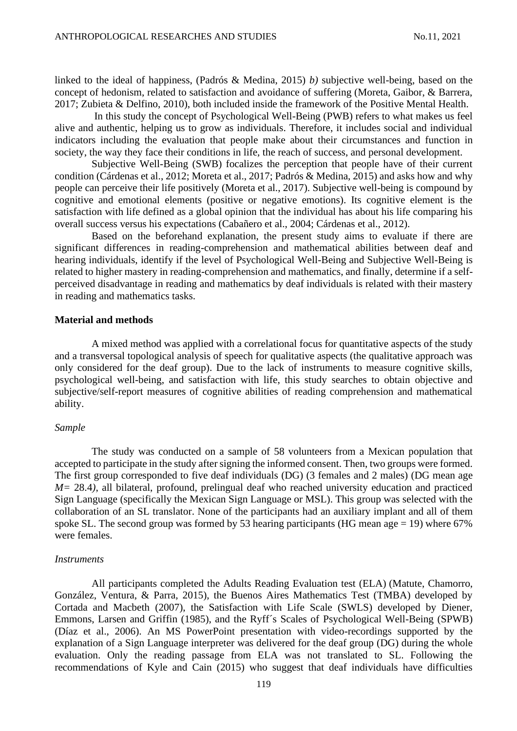linked to the ideal of happiness, (Padrós & Medina, 2015) *b)* subjective well-being, based on the concept of hedonism, related to satisfaction and avoidance of suffering (Moreta, Gaibor, & Barrera, 2017; Zubieta & Delfino, 2010), both included inside the framework of the Positive Mental Health.

In this study the concept of Psychological Well-Being (PWB) refers to what makes us feel alive and authentic, helping us to grow as individuals. Therefore, it includes social and individual indicators including the evaluation that people make about their circumstances and function in society, the way they face their conditions in life, the reach of success, and personal development.

Subjective Well-Being (SWB) focalizes the perception that people have of their current condition (Cárdenas et al., 2012; Moreta et al., 2017; Padrós & Medina, 2015) and asks how and why people can perceive their life positively (Moreta et al., 2017). Subjective well-being is compound by cognitive and emotional elements (positive or negative emotions). Its cognitive element is the satisfaction with life defined as a global opinion that the individual has about his life comparing his overall success versus his expectations (Cabañero et al., 2004; Cárdenas et al., 2012).

Based on the beforehand explanation, the present study aims to evaluate if there are significant differences in reading-comprehension and mathematical abilities between deaf and hearing individuals, identify if the level of Psychological Well-Being and Subjective Well-Being is related to higher mastery in reading-comprehension and mathematics, and finally, determine if a selfperceived disadvantage in reading and mathematics by deaf individuals is related with their mastery in reading and mathematics tasks.

## **Material and methods**

A mixed method was applied with a correlational focus for quantitative aspects of the study and a transversal topological analysis of speech for qualitative aspects (the qualitative approach was only considered for the deaf group). Due to the lack of instruments to measure cognitive skills, psychological well-being, and satisfaction with life, this study searches to obtain objective and subjective/self-report measures of cognitive abilities of reading comprehension and mathematical ability.

#### *Sample*

The study was conducted on a sample of 58 volunteers from a Mexican population that accepted to participate in the study after signing the informed consent. Then, two groups were formed. The first group corresponded to five deaf individuals (DG) (3 females and 2 males) (DG mean age *M=* 28.4*)*, all bilateral, profound, prelingual deaf who reached university education and practiced Sign Language (specifically the Mexican Sign Language or MSL). This group was selected with the collaboration of an SL translator. None of the participants had an auxiliary implant and all of them spoke SL. The second group was formed by 53 hearing participants (HG mean age  $= 19$ ) where 67% were females.

#### *Instruments*

All participants completed the Adults Reading Evaluation test (ELA) (Matute, Chamorro, González, Ventura, & Parra, 2015), the Buenos Aires Mathematics Test (TMBA) developed by Cortada and Macbeth (2007), the Satisfaction with Life Scale (SWLS) developed by Diener, Emmons, Larsen and Griffin (1985), and the Ryff´s Scales of Psychological Well-Being (SPWB) (Díaz et al., 2006). An MS PowerPoint presentation with video-recordings supported by the explanation of a Sign Language interpreter was delivered for the deaf group (DG) during the whole evaluation. Only the reading passage from ELA was not translated to SL. Following the recommendations of Kyle and Cain (2015) who suggest that deaf individuals have difficulties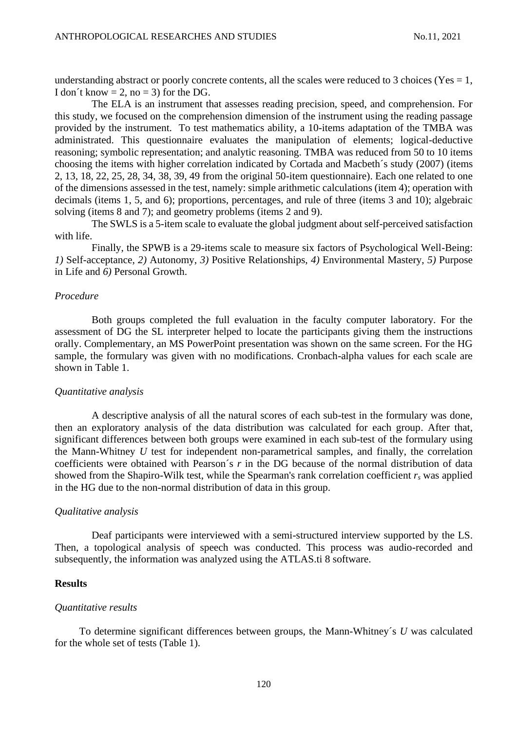understanding abstract or poorly concrete contents, all the scales were reduced to 3 choices (Yes  $= 1$ , I don't know  $= 2$ , no  $= 3$ ) for the DG.

The ELA is an instrument that assesses reading precision, speed, and comprehension. For this study, we focused on the comprehension dimension of the instrument using the reading passage provided by the instrument. To test mathematics ability, a 10-items adaptation of the TMBA was administrated. This questionnaire evaluates the manipulation of elements; logical-deductive reasoning; symbolic representation; and analytic reasoning. TMBA was reduced from 50 to 10 items choosing the items with higher correlation indicated by Cortada and Macbeth´s study (2007) (items 2, 13, 18, 22, 25, 28, 34, 38, 39, 49 from the original 50-item questionnaire). Each one related to one of the dimensions assessed in the test, namely: simple arithmetic calculations (item 4); operation with decimals (items 1, 5, and 6); proportions, percentages, and rule of three (items 3 and 10); algebraic solving (items 8 and 7); and geometry problems (items 2 and 9).

The SWLS is a 5-item scale to evaluate the global judgment about self-perceived satisfaction with life.

Finally, the SPWB is a 29-items scale to measure six factors of Psychological Well-Being: *1)* Self-acceptance, *2)* Autonomy, *3)* Positive Relationships, *4)* Environmental Mastery, *5)* Purpose in Life and *6)* Personal Growth.

### *Procedure*

Both groups completed the full evaluation in the faculty computer laboratory. For the assessment of DG the SL interpreter helped to locate the participants giving them the instructions orally. Complementary, an MS PowerPoint presentation was shown on the same screen. For the HG sample, the formulary was given with no modifications. Cronbach-alpha values for each scale are shown in Table 1.

#### *Quantitative analysis*

A descriptive analysis of all the natural scores of each sub-test in the formulary was done, then an exploratory analysis of the data distribution was calculated for each group. After that, significant differences between both groups were examined in each sub-test of the formulary using the Mann-Whitney *U* test for independent non-parametrical samples, and finally, the correlation coefficients were obtained with Pearson´s *r* in the DG because of the normal distribution of data showed from the Shapiro-Wilk test, while the Spearman's rank correlation coefficient *r<sup>s</sup>* was applied in the HG due to the non-normal distribution of data in this group.

#### *Qualitative analysis*

Deaf participants were interviewed with a semi-structured interview supported by the LS. Then, a topological analysis of speech was conducted. This process was audio-recorded and subsequently, the information was analyzed using the ATLAS.ti 8 software.

### **Results**

#### *Quantitative results*

To determine significant differences between groups, the Mann-Whitney´s *U* was calculated for the whole set of tests (Table 1).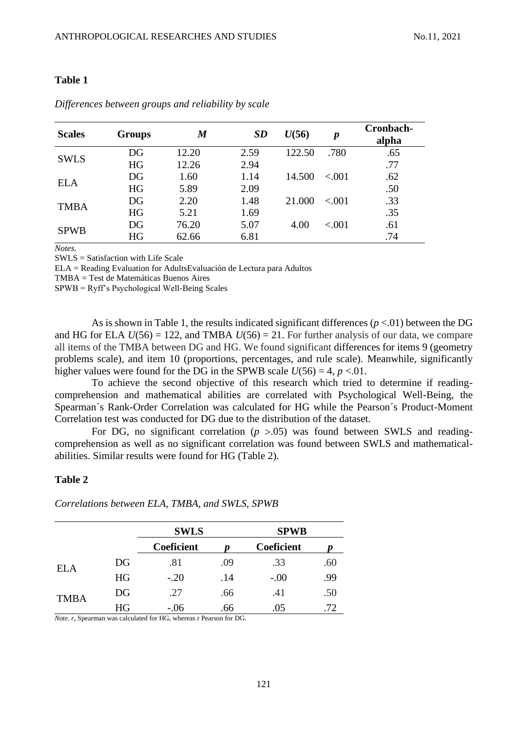### **Table 1**

| <b>Scales</b> | <b>Groups</b> | $\bm{M}$ | <b>SD</b> | U(56)  | $\boldsymbol{p}$ | Cronbach-<br>alpha |
|---------------|---------------|----------|-----------|--------|------------------|--------------------|
| <b>SWLS</b>   | DG            | 12.20    | 2.59      | 122.50 | .780             | .65                |
|               | <b>HG</b>     | 12.26    | 2.94      |        |                  | .77                |
| <b>ELA</b>    | DG            | 1.60     | 1.14      | 14.500 | ${<}001$         | .62                |
|               | <b>HG</b>     | 5.89     | 2.09      |        |                  | .50                |
| <b>TMBA</b>   | DG            | 2.20     | 1.48      | 21.000 | ${<}001$         | .33                |
|               | <b>HG</b>     | 5.21     | 1.69      |        |                  | .35                |
| <b>SPWB</b>   | DG            | 76.20    | 5.07      | 4.00   | < .001           | .61                |
|               | HG            | 62.66    | 6.81      |        |                  | .74                |

## *Differences between groups and reliability by scale*

*Notes.*

SWLS = Satisfaction with Life Scale

ELA = Reading Evaluation for AdultsEvaluación de Lectura para Adultos

TMBA = Test de Matemáticas Buenos Aires

SPWB = Ryff's Psychological Well-Being Scales

As is shown in Table 1, the results indicated significant differences (*p* <.01) between the DG and HG for ELA  $U(56) = 122$ , and TMBA  $U(56) = 21$ . For further analysis of our data, we compare all items of the TMBA between DG and HG. We found significant differences for items 9 (geometry problems scale), and item 10 (proportions, percentages, and rule scale). Meanwhile, significantly higher values were found for the DG in the SPWB scale  $U(56) = 4$ ,  $p < 01$ .

To achieve the second objective of this research which tried to determine if readingcomprehension and mathematical abilities are correlated with Psychological Well-Being, the Spearman´s Rank-Order Correlation was calculated for HG while the Pearson´s Product-Moment Correlation test was conducted for DG due to the distribution of the dataset.

For DG, no significant correlation  $(p > 0.05)$  was found between SWLS and readingcomprehension as well as no significant correlation was found between SWLS and mathematicalabilities. Similar results were found for HG (Table 2).

### **Table 2**

|             |    | <b>SWLS</b> |     | <b>SPWB</b> |     |  |
|-------------|----|-------------|-----|-------------|-----|--|
|             |    | Coeficient  |     | Coeficient  |     |  |
| ELA         | DG | .81         | .09 | .33         | .60 |  |
|             | HG | $-.20$      | .14 | $-.00$      | .99 |  |
| <b>TMBA</b> | DG | .27         | .66 | .41         | .50 |  |
|             | HG | $-.06$      | .66 | .05         | .72 |  |

*Correlations between ELA, TMBA, and SWLS, SPWB*

*Note*. *r<sup>s</sup>* Spearman was calculated for HG, whereas r Pearson for DG.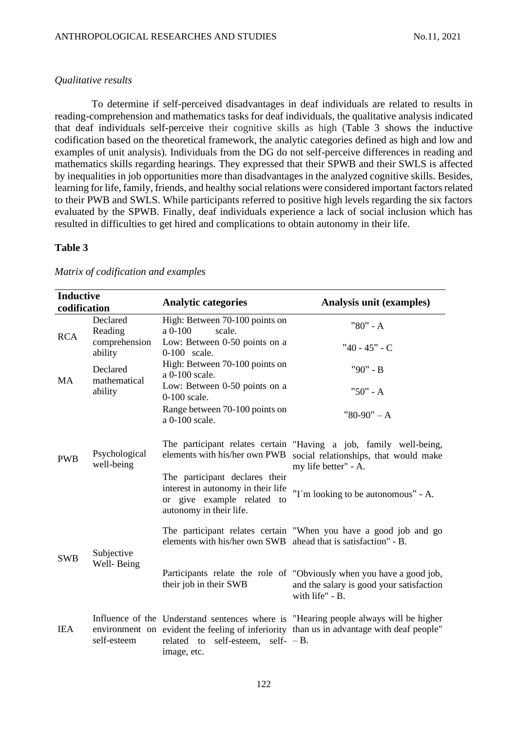# *Qualitative results*

To determine if self-perceived disadvantages in deaf individuals are related to results in reading-comprehension and mathematics tasks for deaf individuals, the qualitative analysis indicated that deaf individuals self-perceive their cognitive skills as high (Table 3 shows the inductive codification based on the theoretical framework, the analytic categories defined as high and low and examples of unit analysis). Individuals from the DG do not self-perceive differences in reading and mathematics skills regarding hearings. They expressed that their SPWB and their SWLS is affected by inequalities in job opportunities more than disadvantages in the analyzed cognitive skills. Besides, learning for life, family, friends, and healthy social relations were considered important factors related to their PWB and SWLS. While participants referred to positive high levels regarding the six factors evaluated by the SPWB. Finally, deaf individuals experience a lack of social inclusion which has resulted in difficulties to get hired and complications to obtain autonomy in their life.

### **Table 3**

| <b>Inductive</b><br>codification |                                     | <b>Analytic categories</b>                                                                                                    | <b>Analysis unit (examples)</b>                                                                                                                                                  |  |
|----------------------------------|-------------------------------------|-------------------------------------------------------------------------------------------------------------------------------|----------------------------------------------------------------------------------------------------------------------------------------------------------------------------------|--|
| <b>RCA</b>                       | Declared<br>Reading                 | High: Between 70-100 points on<br>a 0-100<br>scale.                                                                           | "80" - A                                                                                                                                                                         |  |
|                                  | comprehension<br>ability            | Low: Between 0-50 points on a<br>0-100 scale.                                                                                 | "40 - 45" - C                                                                                                                                                                    |  |
| <b>MA</b>                        | Declared<br>mathematical<br>ability | High: Between 70-100 points on<br>a 0-100 scale.                                                                              | "90" - B                                                                                                                                                                         |  |
|                                  |                                     | Low: Between 0-50 points on a<br>$0-100$ scale.                                                                               | "50" - A                                                                                                                                                                         |  |
|                                  |                                     | Range between 70-100 points on<br>a 0-100 scale.                                                                              | $"80-90" - A$                                                                                                                                                                    |  |
| <b>PWB</b>                       | Psychological<br>well-being         | elements with his/her own PWB                                                                                                 | The participant relates certain "Having a job, family well-being,<br>social relationships, that would make<br>my life better" - A.                                               |  |
|                                  |                                     | The participant declares their<br>interest in autonomy in their life<br>or give example related to<br>autonomy in their life. | "I'm looking to be autonomous" - A.                                                                                                                                              |  |
| <b>SWB</b>                       | Subjective<br>Well-Being            | elements with his/her own SWB ahead that is satisfaction" - B.                                                                | The participant relates certain "When you have a good job and go                                                                                                                 |  |
|                                  |                                     | their job in their SWB                                                                                                        | Participants relate the role of "Obviously when you have a good job,<br>and the salary is good your satisfaction<br>with life" - B.                                              |  |
| <b>IEA</b>                       | self-esteem                         | related to self-esteem, self- $-B$ .<br>image, etc.                                                                           | Influence of the Understand sentences where is "Hearing people always will be higher<br>environment on evident the feeling of inferiority than us in advantage with deaf people" |  |

### *Matrix of codification and examples*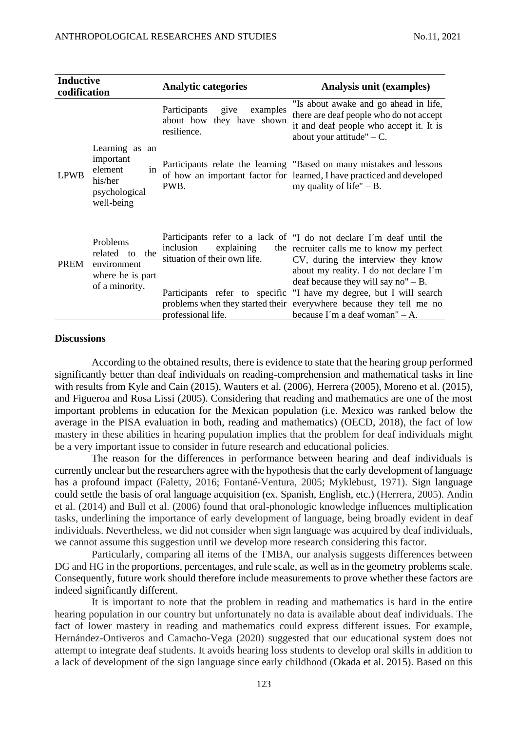| <b>Inductive</b><br>codification |                                                                                        | <b>Analytic categories</b>                                                    | Analysis unit (examples)                                                                                                                                                                                                                                                                                                                                                                                                       |  |
|----------------------------------|----------------------------------------------------------------------------------------|-------------------------------------------------------------------------------|--------------------------------------------------------------------------------------------------------------------------------------------------------------------------------------------------------------------------------------------------------------------------------------------------------------------------------------------------------------------------------------------------------------------------------|--|
|                                  |                                                                                        | Participants<br>give<br>examples<br>about how they have shown<br>resilience.  | "Is about awake and go ahead in life,<br>there are deaf people who do not accept<br>it and deaf people who accept it. It is<br>about your attitude" $-C$ .                                                                                                                                                                                                                                                                     |  |
| <b>LPWB</b>                      | Learning as an<br>important<br>in<br>element<br>his/her<br>psychological<br>well-being | PWB.                                                                          | Participants relate the learning "Based on many mistakes and lessons<br>of how an important factor for learned, I have practiced and developed<br>my quality of life" $- B$ .                                                                                                                                                                                                                                                  |  |
| <b>PREM</b>                      | Problems<br>related to<br>the<br>environment<br>where he is part<br>of a minority.     | inclusion<br>explaining<br>situation of their own life.<br>professional life. | Participants refer to a lack of "I do not declare I'm deaf until the<br>the recruiter calls me to know my perfect<br>CV, during the interview they know<br>about my reality. I do not declare I'm<br>deaf because they will say no" $- B$ .<br>Participants refer to specific "I have my degree, but I will search<br>problems when they started their everywhere because they tell me no<br>because I'm a deaf woman" $- A$ . |  |

#### **Discussions**

According to the obtained results, there is evidence to state that the hearing group performed significantly better than deaf individuals on reading-comprehension and mathematical tasks in line with results from Kyle and Cain (2015), Wauters et al. (2006), Herrera (2005), Moreno et al. (2015), and Figueroa and Rosa Lissi (2005). Considering that reading and mathematics are one of the most important problems in education for the Mexican population (i.e. Mexico was ranked below the average in the PISA evaluation in both, reading and mathematics) (OECD, 2018), the fact of low mastery in these abilities in hearing population implies that the problem for deaf individuals might be a very important issue to consider in future research and educational policies.

The reason for the differences in performance between hearing and deaf individuals is currently unclear but the researchers agree with the hypothesis that the early development of language has a profound impact (Faletty, 2016; Fontané-Ventura, 2005; Myklebust, 1971). Sign language could settle the basis of oral language acquisition (ex. Spanish, English, etc.) (Herrera, 2005). Andin et al. (2014) and Bull et al. (2006) found that oral-phonologic knowledge influences multiplication tasks, underlining the importance of early development of language, being broadly evident in deaf individuals. Nevertheless, we did not consider when sign language was acquired by deaf individuals, we cannot assume this suggestion until we develop more research considering this factor.

Particularly, comparing all items of the TMBA, our analysis suggests differences between DG and HG in the proportions, percentages, and rule scale, as well as in the geometry problems scale. Consequently, future work should therefore include measurements to prove whether these factors are indeed significantly different.

It is important to note that the problem in reading and mathematics is hard in the entire hearing population in our country but unfortunately no data is available about deaf individuals. The fact of lower mastery in reading and mathematics could express different issues. For example, Hernández-Ontiveros and Camacho-Vega (2020) suggested that our educational system does not attempt to integrate deaf students. It avoids hearing loss students to develop oral skills in addition to a lack of development of the sign language since early childhood (Okada et al. 2015). Based on this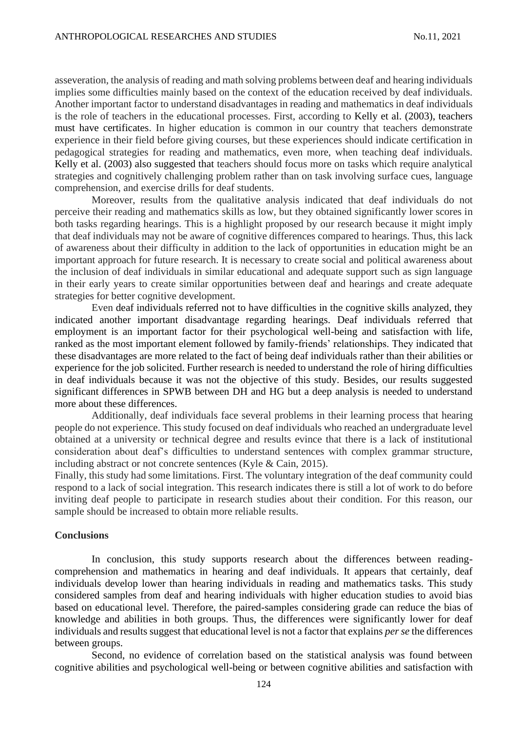asseveration, the analysis of reading and math solving problems between deaf and hearing individuals implies some difficulties mainly based on the context of the education received by deaf individuals. Another important factor to understand disadvantages in reading and mathematics in deaf individuals is the role of teachers in the educational processes. First, according to Kelly et al. (2003), teachers must have certificates. In higher education is common in our country that teachers demonstrate experience in their field before giving courses, but these experiences should indicate certification in pedagogical strategies for reading and mathematics, even more, when teaching deaf individuals. Kelly et al. (2003) also suggested that teachers should focus more on tasks which require analytical strategies and cognitively challenging problem rather than on task involving surface cues, language comprehension, and exercise drills for deaf students.

Moreover, results from the qualitative analysis indicated that deaf individuals do not perceive their reading and mathematics skills as low, but they obtained significantly lower scores in both tasks regarding hearings. This is a highlight proposed by our research because it might imply that deaf individuals may not be aware of cognitive differences compared to hearings. Thus, this lack of awareness about their difficulty in addition to the lack of opportunities in education might be an important approach for future research. It is necessary to create social and political awareness about the inclusion of deaf individuals in similar educational and adequate support such as sign language in their early years to create similar opportunities between deaf and hearings and create adequate strategies for better cognitive development.

Even deaf individuals referred not to have difficulties in the cognitive skills analyzed, they indicated another important disadvantage regarding hearings. Deaf individuals referred that employment is an important factor for their psychological well-being and satisfaction with life, ranked as the most important element followed by family-friends' relationships. They indicated that these disadvantages are more related to the fact of being deaf individuals rather than their abilities or experience for the job solicited. Further research is needed to understand the role of hiring difficulties in deaf individuals because it was not the objective of this study. Besides, our results suggested significant differences in SPWB between DH and HG but a deep analysis is needed to understand more about these differences.

Additionally, deaf individuals face several problems in their learning process that hearing people do not experience. This study focused on deaf individuals who reached an undergraduate level obtained at a university or technical degree and results evince that there is a lack of institutional consideration about deaf's difficulties to understand sentences with complex grammar structure, including abstract or not concrete sentences (Kyle & Cain, 2015).

Finally, this study had some limitations. First. The voluntary integration of the deaf community could respond to a lack of social integration. This research indicates there is still a lot of work to do before inviting deaf people to participate in research studies about their condition. For this reason, our sample should be increased to obtain more reliable results.

### **Conclusions**

In conclusion, this study supports research about the differences between readingcomprehension and mathematics in hearing and deaf individuals. It appears that certainly, deaf individuals develop lower than hearing individuals in reading and mathematics tasks. This study considered samples from deaf and hearing individuals with higher education studies to avoid bias based on educational level. Therefore, the paired-samples considering grade can reduce the bias of knowledge and abilities in both groups. Thus, the differences were significantly lower for deaf individuals and results suggest that educational level is not a factor that explains *per se* the differences between groups.

Second, no evidence of correlation based on the statistical analysis was found between cognitive abilities and psychological well-being or between cognitive abilities and satisfaction with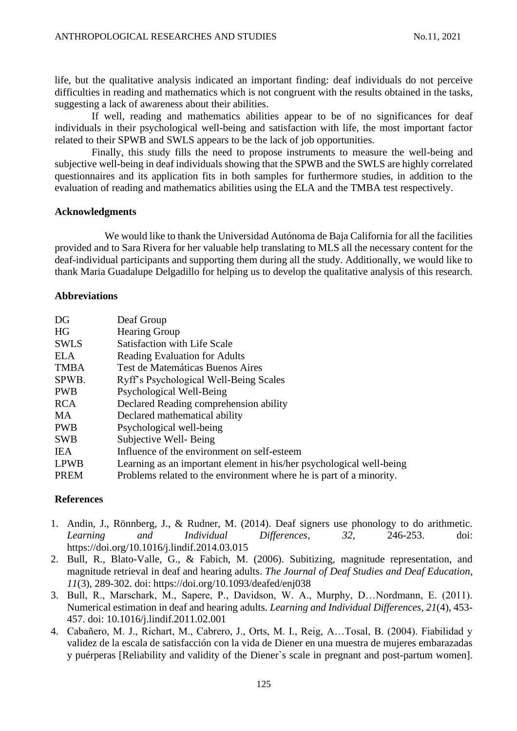life, but the qualitative analysis indicated an important finding: deaf individuals do not perceive difficulties in reading and mathematics which is not congruent with the results obtained in the tasks, suggesting a lack of awareness about their abilities.

If well, reading and mathematics abilities appear to be of no significances for deaf individuals in their psychological well-being and satisfaction with life, the most important factor related to their SPWB and SWLS appears to be the lack of job opportunities.

Finally, this study fills the need to propose instruments to measure the well-being and subjective well-being in deaf individuals showing that the SPWB and the SWLS are highly correlated questionnaires and its application fits in both samples for furthermore studies, in addition to the evaluation of reading and mathematics abilities using the ELA and the TMBA test respectively.

## **Acknowledgments**

We would like to thank the Universidad Autónoma de Baja California for all the facilities provided and to Sara Rivera for her valuable help translating to MLS all the necessary content for the deaf-individual participants and supporting them during all the study. Additionally, we would like to thank Maria Guadalupe Delgadillo for helping us to develop the qualitative analysis of this research.

## **Abbreviations**

| DG          | Deaf Group                                                           |
|-------------|----------------------------------------------------------------------|
| HG          | <b>Hearing Group</b>                                                 |
| <b>SWLS</b> | <b>Satisfaction with Life Scale</b>                                  |
| ELA         | <b>Reading Evaluation for Adults</b>                                 |
| TMBA        | Test de Matemáticas Buenos Aires                                     |
| SPWB.       | Ryff's Psychological Well-Being Scales                               |
| <b>PWB</b>  | Psychological Well-Being                                             |
| <b>RCA</b>  | Declared Reading comprehension ability                               |
| MA          | Declared mathematical ability                                        |
| PWB         | Psychological well-being                                             |
| <b>SWB</b>  | Subjective Well-Being                                                |
| <b>IEA</b>  | Influence of the environment on self-esteem                          |
| <b>LPWB</b> | Learning as an important element in his/her psychological well-being |
| <b>PREM</b> | Problems related to the environment where he is part of a minority.  |

# **References**

- 1. Andin, J., Rönnberg, J., & Rudner, M. (2014). Deaf signers use phonology to do arithmetic. *Learning and Individual Differences*, *32*, 246-253. doi: <https://doi.org/10.1016/j.lindif.2014.03.015>
- 2. Bull, R., Blato-Valle, G., & Fabich, M. (2006). Subitizing, magnitude representation, and magnitude retrieval in deaf and hearing adults. *The Journal of Deaf Studies and Deaf Education*, *11*(3), 289-302. doi:<https://doi.org/10.1093/deafed/enj038>
- 3. Bull, R., Marschark, M., Sapere, P., Davidson, W. A., Murphy, D…Nordmann, E. (2011). Numerical estimation in deaf and hearing adults. *Learning and Individual Differences*, *21*(4), 453- 457. doi: [10.1016/j.lindif.2011.02.001](https://www.researchgate.net/deref/http%3A%2F%2Fdx.doi.org%2F10.1016%2Fj.lindif.2011.02.001)
- 4. Cabañero, M. J., Richart, M., Cabrero, J., Orts, M. I., Reig, A…Tosal, B. (2004). Fiabilidad y validez de la escala de satisfacción con la vida de Diener en una muestra de mujeres embarazadas y puérperas [Reliability and validity of the Diener`s scale in pregnant and post-partum women].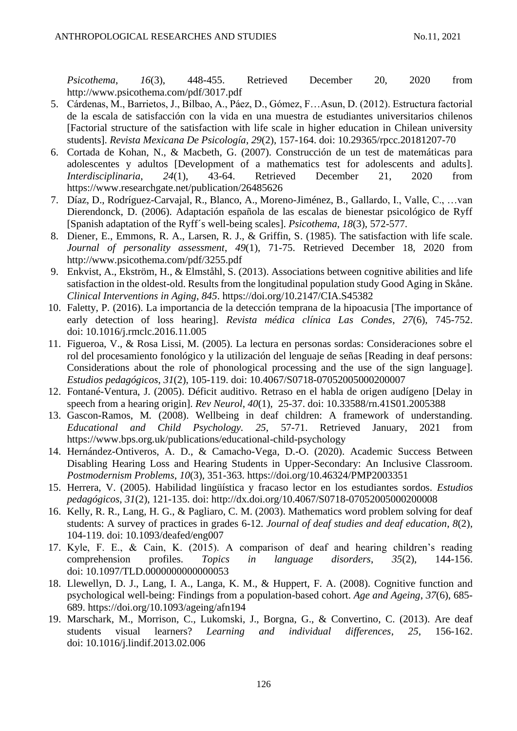*Psicothema*, *16*(3), 448-455. Retrieved December 20, 2020 from http://www.psicothema.com/pdf/3017.pdf

- 5. Cárdenas, M., Barrietos, J., Bilbao, A., Páez, D., Gómez, F…Asun, D. (2012). Estructura factorial de la escala de satisfacción con la vida en una muestra de estudiantes universitarios chilenos [Factorial structure of the satisfaction with life scale in higher education in Chilean university students]. *Revista Mexicana De Psicología*, *29*(2), 157-164. doi: 10.29365/rpcc.20181207-70
- 6. Cortada de Kohan, N., & Macbeth, G. (2007). Construcción de un test de matemáticas para adolescentes y adultos [Development of a mathematics test for adolescents and adults]. *Interdisciplinaria*, *24*(1), 43-64. Retrieved December 21, 2020 from https://www.researchgate.net/publication/26485626
- 7. Díaz, D., Rodríguez-Carvajal, R., Blanco, A., Moreno-Jiménez, B., Gallardo, I., Valle, C., …van Dierendonck, D. (2006). Adaptación española de las escalas de bienestar psicológico de Ryff [Spanish adaptation of the Ryff´s well-being scales]. *Psicothema*, *18*(3), 572-577.
- 8. Diener, E., Emmons, R. A., Larsen, R. J., & Griffin, S. (1985). The satisfaction with life scale. *Journal of personality assessment*, *49*(1), 71-75. Retrieved December 18, 2020 from http://www.psicothema.com/pdf/3255.pdf
- 9. Enkvist, A., Ekström, H., & Elmståhl, S. (2013). Associations between cognitive abilities and life satisfaction in the oldest-old. Results from the longitudinal population study Good Aging in Skåne. *Clinical Interventions in Aging*, *845*. https://doi.org/10.2147/CIA.S45382
- 10. Faletty, P. (2016). La importancia de la detección temprana de la hipoacusia [The importance of early detection of loss hearing]. *Revista médica clínica Las Condes*, *27*(6), 745-752. doi: [10.1016/j.rmclc.2016.11.005](https://www.researchgate.net/deref/http%3A%2F%2Fdx.doi.org%2F10.1016%2Fj.rmclc.2016.11.005)
- 11. Figueroa, V., & Rosa Lissi, M. (2005). La lectura en personas sordas: Consideraciones sobre el rol del procesamiento fonológico y la utilización del lenguaje de señas [Reading in deaf persons: Considerations about the role of phonological processing and the use of the sign language]. *Estudios pedagógicos*, *31*(2), 105-119. doi: [10.4067/S0718-07052005000200007](https://www.researchgate.net/deref/http%3A%2F%2Fdx.doi.org%2F10.4067%2FS0718-07052005000200007)
- 12. Fontané-Ventura, J. (2005). Déficit auditivo. Retraso en el habla de origen audígeno [Delay in speech from a hearing origin]. *Rev Neurol*, *40*(1), 25-37. doi: [10.33588/rn.41S01.2005388](https://doi.org/10.33588/rn.41S01.2005388)
- 13. Gascon-Ramos, M*.* (2008). Wellbeing in deaf children: A framework of understanding*. Educational and Child Psychology. 25,* 57-71. Retrieved January, 2021 from https://www.bps.org.uk/publications/educational-child-psychology
- 14. Hernández-Ontiveros, A. D., & Camacho-Vega, D.-O. (2020). Academic Success Between Disabling Hearing Loss and Hearing Students in Upper-Secondary: An Inclusive Classroom. *Postmodernism Problems*, *10*(3), 351-363.<https://doi.org/10.46324/PMP2003351>
- 15. Herrera, V. (2005). Habilidad lingüística y fracaso lector en los estudiantes sordos. *Estudios pedagógicos*, *31*(2), 121-135. doi: http://dx.doi.org/10.4067/S0718-07052005000200008
- 16. Kelly, R. R., Lang, H. G., & Pagliaro, C. M. (2003). Mathematics word problem solving for deaf students: A survey of practices in grades 6-12. *Journal of deaf studies and deaf education*, *8*(2), 104-119. doi: [10.1093/deafed/eng007](https://www.researchgate.net/deref/http%3A%2F%2Fdx.doi.org%2F10.1093%2Fdeafed%2Feng007)
- 17. Kyle, F. E., & Cain, K. (2015). A comparison of deaf and hearing children's reading comprehension profiles. *Topics in language disorders*, *35*(2), 144-156. doi: [10.1097/TLD.0000000000000053](https://www.researchgate.net/deref/http%3A%2F%2Fdx.doi.org%2F10.1097%2FTLD.0000000000000053)
- 18. Llewellyn, D. J., Lang, I. A., Langa, K. M., & Huppert, F. A. (2008). Cognitive function and psychological well-being: Findings from a population-based cohort. *Age and Ageing*, *37*(6), 685- 689. https://doi.org/10.1093/ageing/afn194
- 19. Marschark, M., Morrison, C., Lukomski, J., Borgna, G., & Convertino, C. (2013). Are deaf students visual learners? *Learning and individual differences*, *25*, 156-162. doi: [10.1016/j.lindif.2013.02.006](https://www.researchgate.net/deref/http%3A%2F%2Fdx.doi.org%2F10.1016%2Fj.lindif.2013.02.006)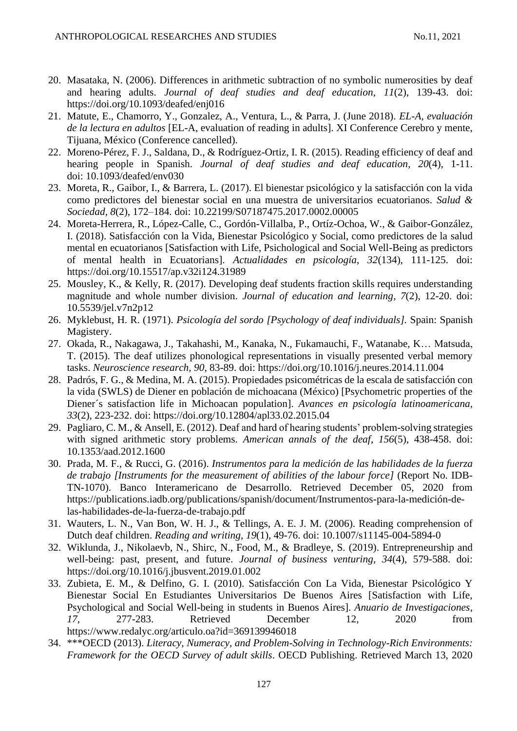- 20. Masataka, N. (2006). Differences in arithmetic subtraction of no symbolic numerosities by deaf and hearing adults. *Journal of deaf studies and deaf education*, *11*(2), 139-43. doi: <https://doi.org/10.1093/deafed/enj016>
- 21. Matute, E., Chamorro, Y., Gonzalez, A., Ventura, L., & Parra, J. (June 2018). *EL-A, evaluación de la lectura en adultos* [EL-A, evaluation of reading in adults]. XI Conference Cerebro y mente, Tijuana, México (Conference cancelled).
- 22. Moreno-Pérez, F. J., Saldana, D., & Rodríguez-Ortiz, I. R. (2015). Reading efficiency of deaf and hearing people in Spanish. *Journal of deaf studies and deaf education*, *20*(4), 1-11. doi: [10.1093/deafed/env030](https://www.researchgate.net/deref/http%3A%2F%2Fdx.doi.org%2F10.1093%2Fdeafed%2Fenv030)
- 23. Moreta, R., Gaibor, I., & Barrera, L. (2017). El bienestar psicológico y la satisfacción con la vida como predictores del bienestar social en una muestra de universitarios ecuatorianos. *Salud & Sociedad*, *8*(2), 172–184. doi: [10.22199/S07187475.2017.0002.00005](https://doi.org/10.22199/S07187475.2017.0002.00005)
- 24. Moreta-Herrera, R., López-Calle, C., Gordón-Villalba, P., Ortíz-Ochoa, W., & Gaibor-González, I. (2018). Satisfacción con la Vida, Bienestar Psicológico y Social, como predictores de la salud mental en ecuatorianos [Satisfaction with Life, Psichological and Social Well-Being as predictors of mental health in Ecuatorians]. *Actualidades en psicología*, *32*(134), 111-125. doi: [https://doi.org/10.15517/ap.v32i124.31989](https://psycnet.apa.org/doi/10.15517/ap.v32i124.31989)
- 25. Mousley, K., & Kelly, R. (2017). Developing deaf students fraction skills requires understanding magnitude and whole number division. *Journal of education and learning*, *7*(2), 12-20. doi: [10.5539/jel.v7n2p12](https://doi.org/10.5539/jel.v7n2p12)
- 26. Myklebust, H. R. (1971). *Psicología del sordo [Psychology of deaf individuals].* Spain: Spanish Magistery.
- 27. Okada, R., Nakagawa, J., Takahashi, M., Kanaka, N., Fukamauchi, F., Watanabe, K… Matsuda, T. (2015). The deaf utilizes phonological representations in visually presented verbal memory tasks. *Neuroscience research*, *90*, 83-89. doi:<https://doi.org/10.1016/j.neures.2014.11.004>
- 28. Padrós, F. G., & Medina, M. A. (2015). Propiedades psicométricas de la escala de satisfacción con la vida (SWLS) de Diener en población de michoacana (México) [Psychometric properties of the Diener´s satisfaction life in Michoacan population]. *Avances en psicología latinoamericana, 33*(2), 223-232. doi:<https://doi.org/10.12804/apl33.02.2015.04>
- 29. Pagliaro, C. M., & Ansell, E. (2012). Deaf and hard of hearing students' problem-solving strategies with signed arithmetic story problems. *American annals of the deaf*, *156*(5), 438-458. doi: [10.1353/aad.2012.1600](https://doi.org/10.1353/aad.2012.1600)
- 30. Prada, M. F., & Rucci, G. (2016). *Instrumentos para la medición de las habilidades de la fuerza de trabajo [Instruments for the measurement of abilities of the labour force]* (Report No. IDB-TN-1070). Banco Interamericano de Desarrollo. Retrieved December 05, 2020 from https://publications.iadb.org/publications/spanish/document/Instrumentos-para-la-medición-delas-habilidades-de-la-fuerza-de-trabajo.pdf
- 31. Wauters, L. N., Van Bon, W. H. J., & Tellings, A. E. J. M. (2006). Reading comprehension of Dutch deaf children. *Reading and writing*, *19*(1), 49-76. doi: [10.1007/s11145-004-5894-0](https://www.researchgate.net/deref/http%3A%2F%2Fdx.doi.org%2F10.1007%2Fs11145-004-5894-0)
- 32. Wiklunda, J., Nikolaevb, N., Shirc, N., Food, M., & Bradleye, S. (2019). Entrepreneurship and well-being: past, present, and future. *Journal of business venturing*, *34*(4), 579-588. doi: <https://doi.org/10.1016/j.jbusvent.2019.01.002>
- 33. Zubieta, E. M., & Delfino, G. I. (2010). Satisfacción Con La Vida, Bienestar Psicológico Y Bienestar Social En Estudiantes Universitarios De Buenos Aires [Satisfaction with Life, Psychological and Social Well-being in students in Buenos Aires]. *Anuario de Investigaciones*, *17*, 277-283. Retrieved December 12, 2020 from https://www.redalyc.org/articulo.oa?id=369139946018
- 34. \*\*\*OECD (2013). *Literacy, Numeracy, and Problem-Solving in Technology-Rich Environments: Framework for the OECD Survey of adult skills*. OECD Publishing. Retrieved March 13, 2020